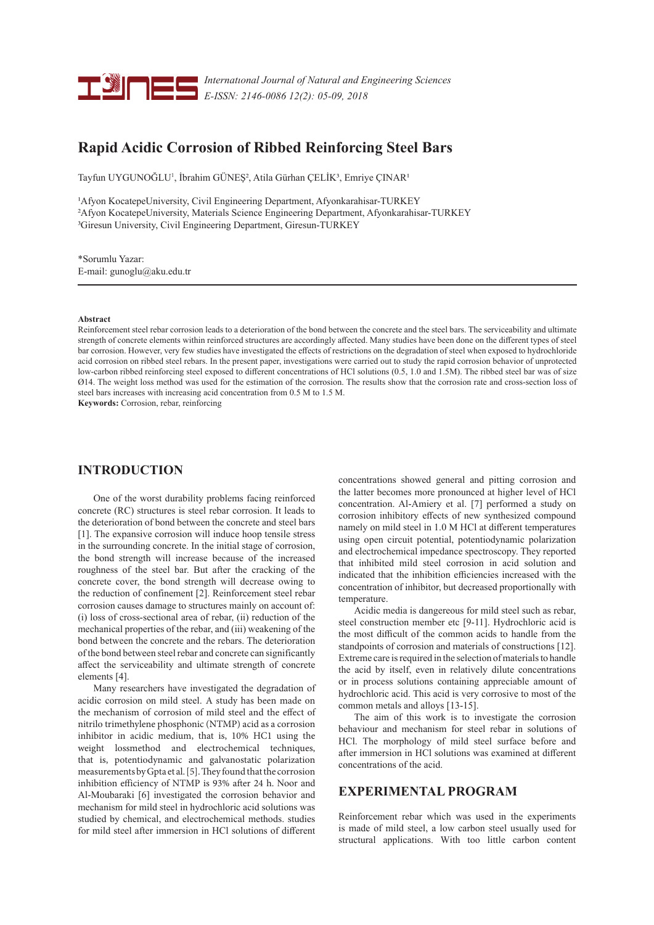

*Internatıonal Journal of Natural and Engineering Sciences E-ISSN: 2146-0086 12(2): 05-09, 2018*

# **Rapid Acidic Corrosion of Ribbed Reinforcing Steel Bars**

Tayfun UYGUNOĞLU<sup>1</sup>, İbrahim GÜNEŞ<sup>2</sup>, Atila Gürhan ÇELİK<sup>3</sup>, Emriye ÇINAR<sup>1</sup>

1Afyon KocatepeUniversity, Civil Engineering Department, Afyonkarahisar-TURKEY 2Afyon KocatepeUniversity, Materials Science Engineering Department, Afyonkarahisar-TURKEY 3Giresun University, Civil Engineering Department, Giresun-TURKEY

\*Sorumlu Yazar: E-mail: gunoglu@aku.edu.tr

#### **Abstract**

Reinforcement steel rebar corrosion leads to a deterioration of the bond between the concrete and the steel bars. The serviceability and ultimate strength of concrete elements within reinforced structures are accordingly affected. Many studies have been done on the different types of steel bar corrosion. However, very few studies have investigated the effects of restrictions on the degradation of steel when exposed to hydrochloride acid corrosion on ribbed steel rebars. In the present paper, investigations were carried out to study the rapid corrosion behavior of unprotected low-carbon ribbed reinforcing steel exposed to different concentrations of HCl solutions (0.5, 1.0 and 1.5M). The ribbed steel bar was of size Ø14. The weight loss method was used for the estimation of the corrosion. The results show that the corrosion rate and cross-section loss of steel bars increases with increasing acid concentration from 0.5 M to 1.5 M.

**Keywords:** Corrosion, rebar, reinforcing

## **INTRODUCTION**

One of the worst durability problems facing reinforced concrete (RC) structures is steel rebar corrosion. It leads to the deterioration of bond between the concrete and steel bars [1]. The expansive corrosion will induce hoop tensile stress in the surrounding concrete. In the initial stage of corrosion, the bond strength will increase because of the increased roughness of the steel bar. But after the cracking of the concrete cover, the bond strength will decrease owing to the reduction of confinement [2]. Reinforcement steel rebar corrosion causes damage to structures mainly on account of: (i) loss of cross-sectional area of rebar, (ii) reduction of the mechanical properties of the rebar, and (iii) weakening of the bond between the concrete and the rebars. The deterioration of the bond between steel rebar and concrete can significantly affect the serviceability and ultimate strength of concrete elements [4].

Many researchers have investigated the degradation of acidic corrosion on mild steel. A study has been made on the mechanism of corrosion of mild steel and the effect of nitrilo trimethylene phosphonic (NTMP) acid as a corrosion inhibitor in acidic medium, that is, 10% HC1 using the weight lossmethod and electrochemical techniques, that is, potentiodynamic and galvanostatic polarization measurements by Gpta et al. [5]. They found that the corrosion inhibition efficiency of NTMP is 93% after 24 h. Noor and Al-Moubaraki [6] investigated the corrosion behavior and mechanism for mild steel in hydrochloric acid solutions was studied by chemical, and electrochemical methods. studies for mild steel after immersion in HCl solutions of different

concentrations showed general and pitting corrosion and the latter becomes more pronounced at higher level of HCl concentration. Al-Amiery et al. [7] performed a study on corrosion inhibitory effects of new synthesized compound namely on mild steel in 1.0 M HCl at different temperatures using open circuit potential, potentiodynamic polarization and electrochemical impedance spectroscopy. They reported that inhibited mild steel corrosion in acid solution and indicated that the inhibition efficiencies increased with the concentration of inhibitor, but decreased proportionally with temperature.

Acidic media is dangereous for mild steel such as rebar, steel construction member etc [9-11]. Hydrochloric acid is the most difficult of the common acids to handle from the standpoints of corrosion and materials of constructions [12]. Extreme care is required in the selection of materials to handle the acid by itself, even in relatively dilute concentrations or in process solutions containing appreciable amount of hydrochloric acid. This acid is very corrosive to most of the common metals and alloys [13-15].

The aim of this work is to investigate the corrosion behaviour and mechanism for steel rebar in solutions of HCl. The morphology of mild steel surface before and after immersion in HCl solutions was examined at different concentrations of the acid.

## **EXPERIMENTAL PROGRAM**

Reinforcement rebar which was used in the experiments is made of mild steel, a low carbon steel usually used for structural applications. With too little carbon content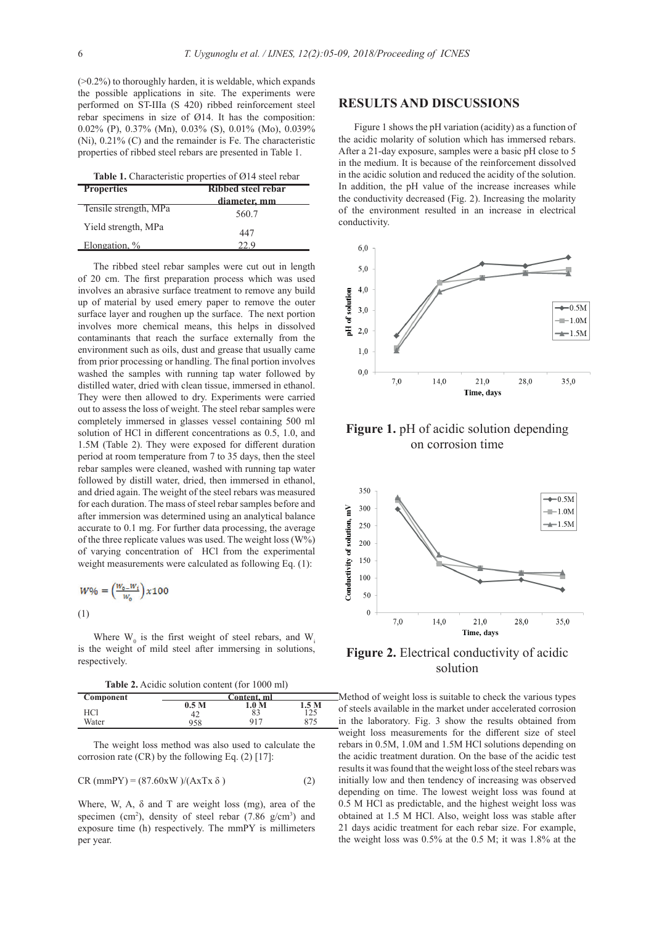(>0.2%) to thoroughly harden, it is weldable, which expands the possible applications in site. The experiments were performed on ST-IIIa (S 420) ribbed reinforcement steel rebar specimens in size of Ø14. It has the composition: 0.02% (P), 0.37% (Mn), 0.03% (S), 0.01% (Mo), 0.039% (Ni), 0.21% (C) and the remainder is Fe. The characteristic properties of ribbed steel rebars are presented in Table 1.

| Table 1. Characteristic properties of Ø14 steel rebar |  |
|-------------------------------------------------------|--|
|-------------------------------------------------------|--|

| <b>Properties</b>     | Ribbed steel rebar |  |  |
|-----------------------|--------------------|--|--|
|                       | diameter, mm       |  |  |
| Tensile strength, MPa | 560.7              |  |  |
| Yield strength, MPa   | 447                |  |  |
| Elongation, %         | 77 Q               |  |  |

The ribbed steel rebar samples were cut out in length of 20 cm. The first preparation process which was used involves an abrasive surface treatment to remove any build up of material by used emery paper to remove the outer surface layer and roughen up the surface. The next portion involves more chemical means, this helps in dissolved contaminants that reach the surface externally from the environment such as oils, dust and grease that usually came from prior processing or handling. The final portion involves washed the samples with running tap water followed by distilled water, dried with clean tissue, immersed in ethanol. They were then allowed to dry. Experiments were carried out to assess the loss of weight. The steel rebar samples were completely immersed in glasses vessel containing 500 ml solution of HCl in different concentrations as 0.5, 1.0, and 1.5M (Table 2). They were exposed for different duration period at room temperature from 7 to 35 days, then the steel rebar samples were cleaned, washed with running tap water followed by distill water, dried, then immersed in ethanol, and dried again. The weight of the steel rebars was measured for each duration. The mass of steel rebar samples before and after immersion was determined using an analytical balance accurate to 0.1 mg. For further data processing, the average of the three replicate values was used. The weight loss  $(W\%)$ of varying concentration of HCl from the experimental weight measurements were calculated as following Eq. (1):

$$
W\% = \left(\frac{w_{o} - w_{i}}{w_{o}}\right) x 100
$$
  
(1)

Where  $W_0$  is the first weight of steel rebars, and  $W_i$ is the weight of mild steel after immersing in solutions, respectively.

**Table 2.** Acidic solution content (for 1000 ml)

| Component | Content. ml      |                  |       |
|-----------|------------------|------------------|-------|
|           | 0.5 <sub>M</sub> | $.0\ \mathrm{M}$ | 1.5 M |
| HCl       |                  | $\Omega$<br>δĴ   | ــ ــ |
| Water     | 958              | 917              | 075   |

The weight loss method was also used to calculate the corrosion rate  $(CR)$  by the following Eq.  $(2)$  [17]:

$$
CR (mmPY) = (87.60xW) / (AxTx \delta)
$$
 (2)

Where, W, A,  $\delta$  and T are weight loss (mg), area of the specimen (cm<sup>2</sup>), density of steel rebar (7.86  $g/cm<sup>3</sup>$ ) and exposure time (h) respectively. The mmPY is millimeters per year.

#### **RESULTS AND DISCUSSIONS**

Figure 1 shows the pH variation (acidity) as a function of the acidic molarity of solution which has immersed rebars. After a 21-day exposure, samples were a basic pH close to 5 in the medium. It is because of the reinforcement dissolved in the acidic solution and reduced the acidity of the solution. In addition, the pH value of the increase increases while the conductivity decreased (Fig. 2). Increasing the molarity of the environment resulted in an increase in electrical conductivity.







**Figure 2.** Electrical conductivity of acidic solution

 $\Box$ Method of weight loss is suitable to check the various types of steels available in the market under accelerated corrosion in the laboratory. Fig. 3 show the results obtained from weight loss measurements for the different size of steel rebars in 0.5M, 1.0M and 1.5M HCl solutions depending on the acidic treatment duration. On the base of the acidic test results it was found that the weight loss of the steel rebars was initially low and then tendency of increasing was observed depending on time. The lowest weight loss was found at 0.5 M HCl as predictable, and the highest weight loss was obtained at 1.5 M HCl. Also, weight loss was stable after 21 days acidic treatment for each rebar size. For example, the weight loss was 0.5% at the 0.5 M; it was 1.8% at the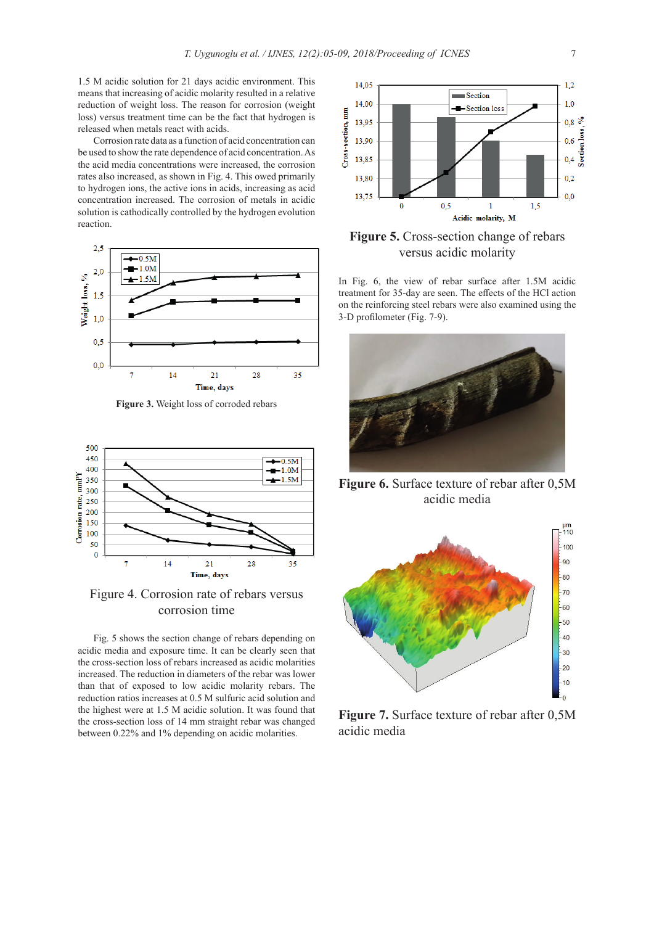1.5 M acidic solution for 21 days acidic environment. This means that increasing of acidic molarity resulted in a relative reduction of weight loss. The reason for corrosion (weight loss) versus treatment time can be the fact that hydrogen is released when metals react with acids.

Corrosion rate data as a function of acid concentration can be used to show the rate dependence of acid concentration. As the acid media concentrations were increased, the corrosion rates also increased, as shown in Fig. 4. This owed primarily to hydrogen ions, the active ions in acids, increasing as acid concentration increased. The corrosion of metals in acidic solution is cathodically controlled by the hydrogen evolution reaction.



**Figure 3.** Weight loss of corroded rebars



Figure 4. Corrosion rate of rebars versus corrosion time

Fig. 5 shows the section change of rebars depending on acidic media and exposure time. It can be clearly seen that the cross-section loss of rebars increased as acidic molarities increased. The reduction in diameters of the rebar was lower than that of exposed to low acidic molarity rebars. The reduction ratios increases at 0.5 M sulfuric acid solution and the highest were at 1.5 M acidic solution. It was found that the cross-section loss of 14 mm straight rebar was changed between 0.22% and 1% depending on acidic molarities.



**Figure 5.** Cross-section change of rebars versus acidic molarity

In Fig. 6, the view of rebar surface after 1.5M acidic treatment for 35-day are seen. The effects of the HCl action on the reinforcing steel rebars were also examined using the 3-D profilometer (Fig. 7-9).



**Figure 6.** Surface texture of rebar after 0,5M acidic media



**Figure 7.** Surface texture of rebar after 0,5M acidic media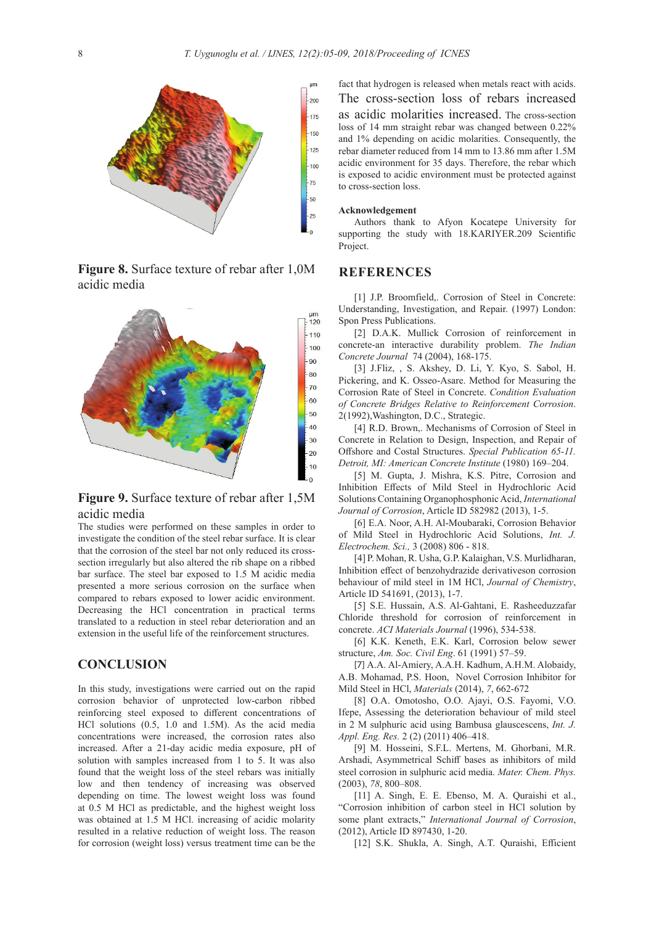

**Figure 8.** Surface texture of rebar after 1,0M acidic media



**Figure 9.** Surface texture of rebar after 1,5M acidic media

The studies were performed on these samples in order to investigate the condition of the steel rebar surface. It is clear that the corrosion of the steel bar not only reduced its crosssection irregularly but also altered the rib shape on a ribbed bar surface. The steel bar exposed to 1.5 M acidic media presented a more serious corrosion on the surface when compared to rebars exposed to lower acidic environment. Decreasing the HCl concentration in practical terms translated to a reduction in steel rebar deterioration and an extension in the useful life of the reinforcement structures.

#### **CONCLUSION**

In this study, investigations were carried out on the rapid corrosion behavior of unprotected low-carbon ribbed reinforcing steel exposed to different concentrations of HCl solutions (0.5, 1.0 and 1.5M). As the acid media concentrations were increased, the corrosion rates also increased. After a 21-day acidic media exposure, pH of solution with samples increased from 1 to 5. It was also found that the weight loss of the steel rebars was initially low and then tendency of increasing was observed depending on time. The lowest weight loss was found at 0.5 M HCl as predictable, and the highest weight loss was obtained at 1.5 M HCl. increasing of acidic molarity resulted in a relative reduction of weight loss. The reason for corrosion (weight loss) versus treatment time can be the fact that hydrogen is released when metals react with acids. The cross-section loss of rebars increased as acidic molarities increased. The cross-section loss of 14 mm straight rebar was changed between 0.22% and 1% depending on acidic molarities. Consequently, the rebar diameter reduced from 14 mm to 13.86 mm after 1.5M acidic environment for 35 days. Therefore, the rebar which is exposed to acidic environment must be protected against to cross-section loss.

#### **Acknowledgement**

Authors thank to Afyon Kocatepe University for supporting the study with 18.KARIYER.209 Scientific Project.

#### **REFERENCES**

[1] J.P. Broomfield,. Corrosion of Steel in Concrete: Understanding, Investigation, and Repair. (1997) London: Spon Press Publications.

[2] D.A.K. Mullick Corrosion of reinforcement in concrete-an interactive durability problem. *The Indian Concrete Journal* 74 (2004), 168-175.

[3] J.Fliz, , S. Akshey, D. Li, Y. Kyo, S. Sabol, H. Pickering, and K. Osseo-Asare. Method for Measuring the Corrosion Rate of Steel in Concrete. *Condition Evaluation of Concrete Bridges Relative to Reinforcement Corrosion*. 2(1992),Washington, D.C., Strategic.

[4] R.D. Brown,. Mechanisms of Corrosion of Steel in Concrete in Relation to Design, Inspection, and Repair of Offshore and Costal Structures. *Special Publication 65-11. Detroit, MI: American Concrete Institute* (1980) 169–204.

[5] M. Gupta, J. Mishra, K.S. Pitre, Corrosion and Inhibition Effects of Mild Steel in Hydrochloric Acid Solutions Containing Organophosphonic Acid, *International Journal of Corrosion*, Article ID 582982 (2013), 1-5.

[6] E.A. Noor, A.H. Al-Moubaraki, Corrosion Behavior of Mild Steel in Hydrochloric Acid Solutions, *Int. J. Electrochem. Sci.,* 3 (2008) 806 - 818.

[4] P. Mohan, R. Usha, G.P. Kalaighan, V.S. Murlidharan, Inhibition effect of benzohydrazide derivativeson corrosion behaviour of mild steel in 1M HCl, *Journal of Chemistry*, Article ID 541691, (2013), 1-7.

[5] S.E. Hussain, A.S. Al-Gahtani, E. Rasheeduzzafar Chloride threshold for corrosion of reinforcement in concrete. *ACI Materials Journal* (1996), 534-538.

[6] K.K. Keneth, E.K. Karl, Corrosion below sewer structure, *Am. Soc. Civil Eng*. 61 (1991) 57–59.

[7] A.A. Al-Amiery, A.A.H. Kadhum, A.H.M. Alobaidy, A.B. Mohamad, P.S. Hoon, Novel Corrosion Inhibitor for Mild Steel in HCl, *Materials* (2014), *7*, 662-672

[8] O.A. Omotosho, O.O. Ajayi, O.S. Fayomi, V.O. Ifepe, Assessing the deterioration behaviour of mild steel in 2 M sulphuric acid using Bambusa glauscescens, *Int. J. Appl. Eng. Res.* 2 (2) (2011) 406–418.

[9] M. Hosseini, S.F.L. Mertens, M. Ghorbani, M.R. Arshadi, Asymmetrical Schiff bases as inhibitors of mild steel corrosion in sulphuric acid media. *Mater. Chem. Phys.*  (2003), *78*, 800–808.

[11] A. Singh, E. E. Ebenso, M. A. Quraishi et al., "Corrosion inhibition of carbon steel in HCl solution by some plant extracts," *International Journal of Corrosion*, (2012), Article ID 897430, 1-20.

[12] S.K. Shukla, A. Singh, A.T. Quraishi, Efficient